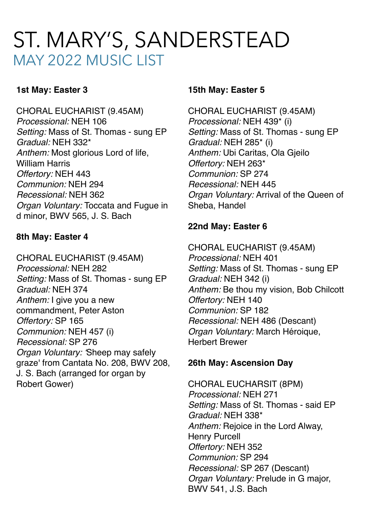# ST. MARY'S, SANDERSTEAD MAY 2022 MUSIC LIST

## **1st May: Easter 3**

CHORAL EUCHARIST (9.45AM) *Processional:* NEH 106 *Setting:* Mass of St. Thomas - sung EP *Gradual:* NEH 332\* *Anthem:* Most glorious Lord of life, William Harris *Offertory:* NEH 443 *Communion:* NEH 294 *Recessional:* NEH 362 *Organ Voluntary:* Toccata and Fugue in d minor, BWV 565, J. S. Bach

## **8th May: Easter 4**

CHORAL EUCHARIST (9.45AM) *Processional:* NEH 282 *Setting:* Mass of St. Thomas - sung EP *Gradual:* NEH 374 *Anthem:* I give you a new commandment, Peter Aston *Offertory:* SP 165 *Communion:* NEH 457 (i) *Recessional:* SP 276 *Organ Voluntary: '*Sheep may safely graze' from Cantata No. 208, BWV 208, J. S. Bach (arranged for organ by Robert Gower)

#### **15th May: Easter 5**

CHORAL EUCHARIST (9.45AM) *Processional:* NEH 439\* (i) *Setting:* Mass of St. Thomas - sung EP *Gradual:* NEH 285\* (i) *Anthem:* Ubi Caritas, Ola Gjeilo *Offertory:* NEH 263\* *Communion:* SP 274 *Recessional:* NEH 445 *Organ Voluntary:* Arrival of the Queen of Sheba, Handel

## **22nd May: Easter 6**

CHORAL EUCHARIST (9.45AM) *Processional:* NEH 401 *Setting:* Mass of St. Thomas - sung EP *Gradual:* NEH 342 (i) *Anthem:* Be thou my vision, Bob Chilcott *Offertory:* NEH 140 *Communion:* SP 182 *Recessional:* NEH 486 (Descant) *Organ Voluntary:* March Héroique, Herbert Brewer

### **26th May: Ascension Day**

CHORAL EUCHARSIT (8PM) *Processional:* NEH 271 *Setting:* Mass of St. Thomas - said EP *Gradual:* NEH 338\* *Anthem:* Rejoice in the Lord Alway, Henry Purcell *Offertory:* NEH 352 *Communion:* SP 294 *Recessional:* SP 267 (Descant) *Organ Voluntary:* Prelude in G major, BWV 541, J.S. Bach